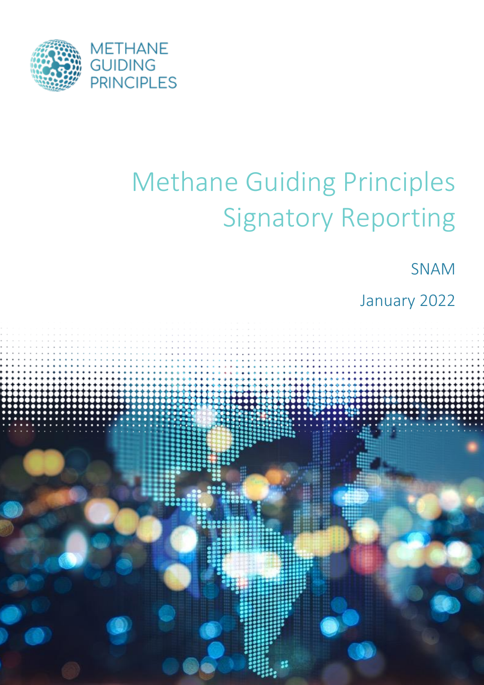

# Methane Guiding Principles Signatory Reporting

SNAM

January 2022

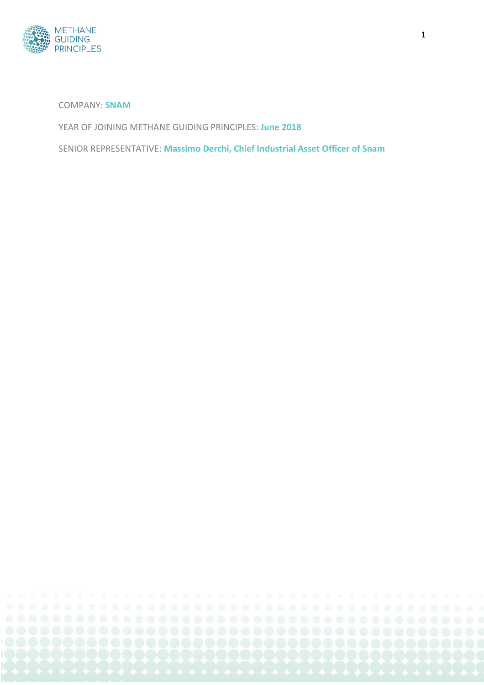

COMPANY: **SNAM**

YEAR OF JOINING METHANE GUIDING PRINCIPLES: **June 2018**

SENIOR REPRESENTATIVE: **Massimo Derchi, Chief Industrial Asset Officer of Snam**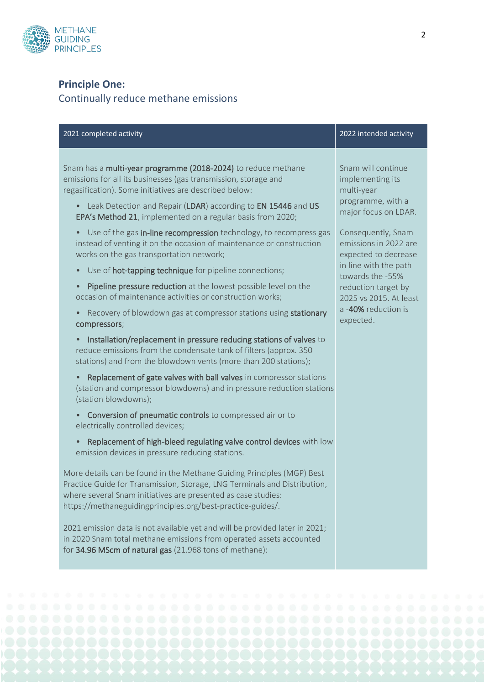

# **Principle One:**

# Continually reduce methane emissions

|                                                                                                                                                                                                                                                                                                                                                                                                                                                                                                                                                                                                                                                                                                                                                                                                                                                                                                                                                                                                                                                                                                                                                                                                                                                                                                                                                                                                                                                                                                                                                                                                                                                                                                                                                                                                                                                                                                                                                                                 | 2022 intended activity                                                                                                                                                                                                                                                                                     |
|---------------------------------------------------------------------------------------------------------------------------------------------------------------------------------------------------------------------------------------------------------------------------------------------------------------------------------------------------------------------------------------------------------------------------------------------------------------------------------------------------------------------------------------------------------------------------------------------------------------------------------------------------------------------------------------------------------------------------------------------------------------------------------------------------------------------------------------------------------------------------------------------------------------------------------------------------------------------------------------------------------------------------------------------------------------------------------------------------------------------------------------------------------------------------------------------------------------------------------------------------------------------------------------------------------------------------------------------------------------------------------------------------------------------------------------------------------------------------------------------------------------------------------------------------------------------------------------------------------------------------------------------------------------------------------------------------------------------------------------------------------------------------------------------------------------------------------------------------------------------------------------------------------------------------------------------------------------------------------|------------------------------------------------------------------------------------------------------------------------------------------------------------------------------------------------------------------------------------------------------------------------------------------------------------|
| Snam has a multi-year programme (2018-2024) to reduce methane<br>emissions for all its businesses (gas transmission, storage and<br>regasification). Some initiatives are described below:<br>• Leak Detection and Repair (LDAR) according to EN 15446 and US<br>EPA's Method 21, implemented on a regular basis from 2020;<br>Use of the gas in-line recompression technology, to recompress gas<br>$\bullet$<br>instead of venting it on the occasion of maintenance or construction<br>works on the gas transportation network;<br>Use of hot-tapping technique for pipeline connections;<br>$\bullet$<br>Pipeline pressure reduction at the lowest possible level on the<br>$\bullet$<br>occasion of maintenance activities or construction works;<br>Recovery of blowdown gas at compressor stations using stationary<br>compressors;<br>Installation/replacement in pressure reducing stations of valves to<br>reduce emissions from the condensate tank of filters (approx. 350<br>stations) and from the blowdown vents (more than 200 stations);<br>Replacement of gate valves with ball valves in compressor stations<br>(station and compressor blowdowns) and in pressure reduction stations<br>(station blowdowns);<br>Conversion of pneumatic controls to compressed air or to<br>$\bullet$<br>electrically controlled devices;<br>Replacement of high-bleed regulating valve control devices with low<br>emission devices in pressure reducing stations.<br>More details can be found in the Methane Guiding Principles (MGP) Best<br>Practice Guide for Transmission, Storage, LNG Terminals and Distribution,<br>where several Snam initiatives are presented as case studies:<br>https://methaneguidingprinciples.org/best-practice-guides/.<br>2021 emission data is not available yet and will be provided later in 2021;<br>in 2020 Snam total methane emissions from operated assets accounted<br>for 34.96 MScm of natural gas (21.968 tons of methane): | Snam will continue<br>implementing its<br>multi-year<br>programme, with a<br>major focus on LDAR.<br>Consequently, Snam<br>emissions in 2022 are<br>expected to decrease<br>in line with the path<br>towards the -55%<br>reduction target by<br>2025 vs 2015. At least<br>a -40% reduction is<br>expected. |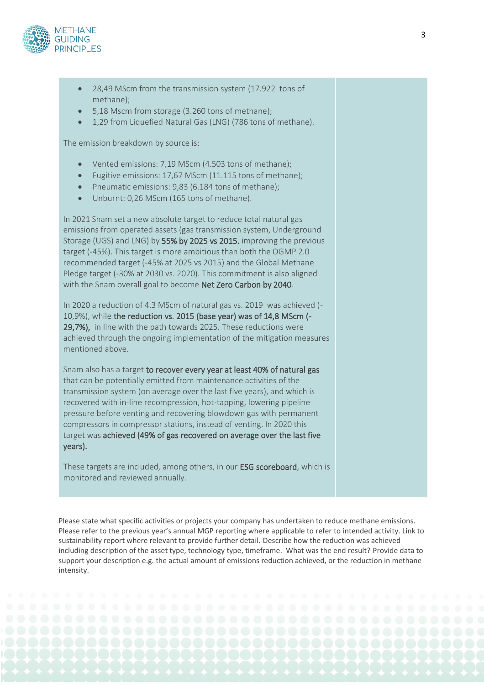

- 28,49 MScm from the transmission system (17.922 tons of methane);
- 5,18 Mscm from storage (3.260 tons of methane);
- 1,29 from Liquefied Natural Gas (LNG) (786 tons of methane).

The emission breakdown by source is:

- Vented emissions: 7,19 MScm (4.503 tons of methane);
- Fugitive emissions: 17,67 MScm (11.115 tons of methane);
- Pneumatic emissions: 9,83 (6.184 tons of methane);
- Unburnt: 0,26 MScm (165 tons of methane).

In 2021 Snam set a new absolute target to reduce total natural gas emissions from operated assets (gas transmission system, Underground Storage (UGS) and LNG) by 55% by 2025 vs 2015, improving the previous target (-45%). This target is more ambitious than both the OGMP 2.0 recommended target (-45% at 2025 vs 2015) and the Global Methane Pledge target (-30% at 2030 vs. 2020). This commitment is also aligned with the Snam overall goal to become Net Zero Carbon by 2040.

In 2020 a reduction of 4.3 MScm of natural gas vs. 2019 was achieved (- 10,9%), while the reduction vs. 2015 (base year) was of 14,8 MScm (- 29,7%), in line with the path towards 2025. These reductions were achieved through the ongoing implementation of the mitigation measures mentioned above.

Snam also has a target to recover every year at least 40% of natural gas that can be potentially emitted from maintenance activities of the transmission system (on average over the last five years), and which is recovered with in-line recompression, hot-tapping, lowering pipeline pressure before venting and recovering blowdown gas with permanent compressors in compressor stations, instead of venting. In 2020 this target was achieved (49% of gas recovered on average over the last five years).

These targets are included, among others, in our ESG scoreboard, which is monitored and reviewed annually.

Please state what specific activities or projects your company has undertaken to reduce methane emissions. Please refer to the previous year's annual MGP reporting where applicable to refer to intended activity. Link to sustainability report where relevant to provide further detail. Describe how the reduction was achieved including description of the asset type, technology type, timeframe. What was the end result? Provide data to support your description e.g. the actual amount of emissions reduction achieved, or the reduction in methane intensity.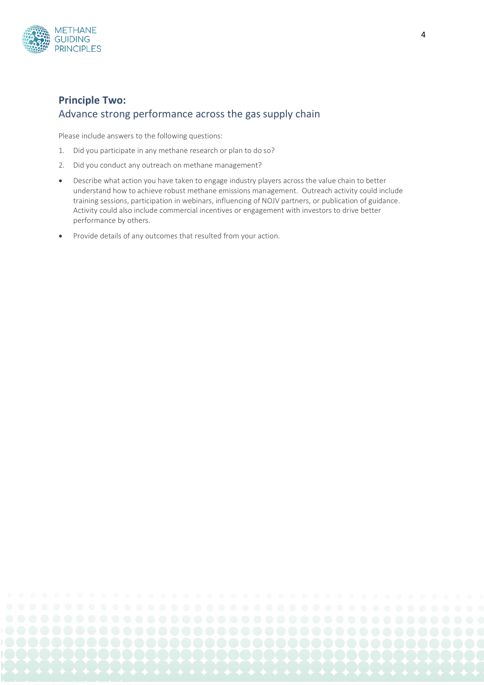

### **Principle Two:**  Advance strong performance across the gas supply chain

Please include answers to the following questions:

- 1. Did you participate in any methane research or plan to do so?
- 2. Did you conduct any outreach on methane management?
- Describe what action you have taken to engage industry players across the value chain to better understand how to achieve robust methane emissions management. Outreach activity could include training sessions, participation in webinars, influencing of NOJV partners, or publication of guidance. Activity could also include commercial incentives or engagement with investors to drive better performance by others.
- Provide details of any outcomes that resulted from your action.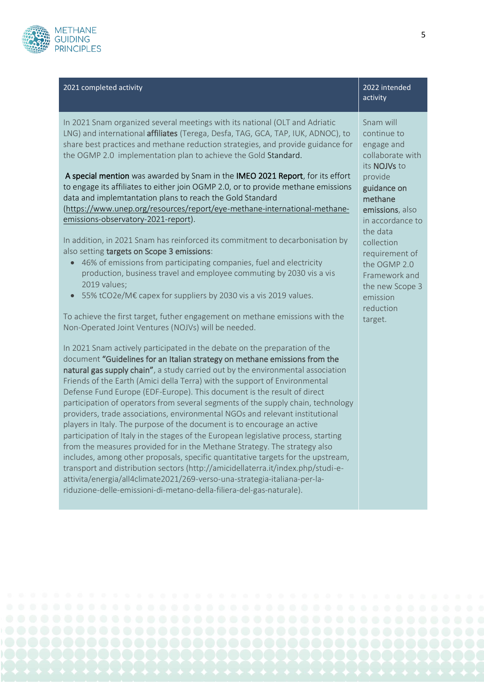

#### 2021 completed activity 2022 intended

In 2021 Snam organized several meetings with its national (OLT and Adriatic LNG) and international affiliates (Terega, Desfa, TAG, GCA, TAP, IUK, ADNOC), to share best practices and methane reduction strategies, and provide guidance for the OGMP 2.0 implementation plan to achieve the Gold Standard.

A special mention was awarded by Snam in the IMEO 2021 Report, for its effort to engage its affiliates to either join OGMP 2.0, or to provide methane emissions data and implemtantation plans to reach the Gold Standard

[\(https://www.unep.org/resources/report/eye-methane-international-methane](https://www.unep.org/resources/report/eye-methane-international-methane-emissions-observatory-2021-report)[emissions-observatory-2021-report\)](https://www.unep.org/resources/report/eye-methane-international-methane-emissions-observatory-2021-report).

In addition, in 2021 Snam has reinforced its commitment to decarbonisation by also setting targets on Scope 3 emissions:

- 46% of emissions from participating companies, fuel and electricity production, business travel and employee commuting by 2030 vis a vis 2019 values;
- 55% tCO2e/M€ capex for suppliers by 2030 vis a vis 2019 values.

To achieve the first target, futher engagement on methane emissions with the Non-Operated Joint Ventures (NOJVs) will be needed.

In 2021 Snam actively participated in the debate on the preparation of the document "Guidelines for an Italian strategy on methane emissions from the natural gas supply chain", a study carried out by the environmental association Friends of the Earth (Amici della Terra) with the support of Environmental Defense Fund Europe (EDF-Europe). This document is the result of direct participation of operators from several segments of the supply chain, technology providers, trade associations, environmental NGOs and relevant institutional players in Italy. The purpose of the document is to encourage an active participation of Italy in the stages of the European legislative process, starting from the measures provided for in the Methane Strategy. The strategy also includes, among other proposals, specific quantitative targets for the upstream, transport and distribution sectors (http://amicidellaterra.it/index.php/studi-eattivita/energia/all4climate2021/269-verso-una-strategia-italiana-per-lariduzione-delle-emissioni-di-metano-della-filiera-del-gas-naturale).

Snam will continue to engage and collaborate with its NOJVs to provide guidance on methane emissions, also in accordance to the data collection requirement of the OGMP 2.0 Framework and the new Scope 3 emission reduction

target.

activity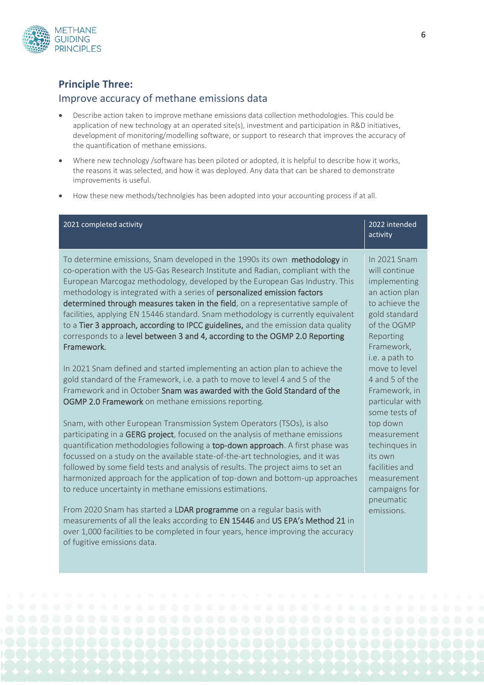

#### **Principle Three:**

#### Improve accuracy of methane emissions data

- Describe action taken to improve methane emissions data collection methodologies. This could be application of new technology at an operated site(s), investment and participation in R&D initiatives, development of monitoring/modelling software, or support to research that improves the accuracy of the quantification of methane emissions.
- Where new technology /software has been piloted or adopted, it is helpful to describe how it works, the reasons it was selected, and how it was deployed. Any data that can be shared to demonstrate improvements is useful.
- How these new methods/technolgies has been adopted into your accounting process if at all.

| 2021 completed activity                                                                                                                                                                                                                                                                                                                                                                                                                                                                                                                                                                                                                                                        | 2022 intended<br>activity                                                                                                                    |
|--------------------------------------------------------------------------------------------------------------------------------------------------------------------------------------------------------------------------------------------------------------------------------------------------------------------------------------------------------------------------------------------------------------------------------------------------------------------------------------------------------------------------------------------------------------------------------------------------------------------------------------------------------------------------------|----------------------------------------------------------------------------------------------------------------------------------------------|
| To determine emissions, Snam developed in the 1990s its own methodology in<br>co-operation with the US-Gas Research Institute and Radian, compliant with the<br>European Marcogaz methodology, developed by the European Gas Industry. This<br>methodology is integrated with a series of personalized emission factors<br>determined through measures taken in the field, on a representative sample of<br>facilities, applying EN 15446 standard. Snam methodology is currently equivalent<br>to a Tier 3 approach, according to IPCC guidelines, and the emission data quality<br>corresponds to a level between 3 and 4, according to the OGMP 2.0 Reporting<br>Framework. | In 2021 Snam<br>will continue<br>implementing<br>an action plan<br>to achieve the<br>gold standard<br>of the OGMP<br>Reporting<br>Framework, |
| In 2021 Snam defined and started implementing an action plan to achieve the<br>gold standard of the Framework, i.e. a path to move to level 4 and 5 of the<br>Framework and in October Snam was awarded with the Gold Standard of the<br>OGMP 2.0 Framework on methane emissions reporting.                                                                                                                                                                                                                                                                                                                                                                                    | i.e. a path to<br>move to level<br>4 and 5 of the<br>Framework, in<br>particular with<br>some tests of                                       |
| Snam, with other European Transmission System Operators (TSOs), is also<br>participating in a GERG project, focused on the analysis of methane emissions<br>quantification methodologies following a top-down approach. A first phase was<br>focussed on a study on the available state-of-the-art technologies, and it was<br>followed by some field tests and analysis of results. The project aims to set an<br>harmonized approach for the application of top-down and bottom-up approaches<br>to reduce uncertainty in methane emissions estimations.                                                                                                                     | top down<br>measurement<br>techingues in<br>its own<br>facilities and<br>measurement<br>campaigns for                                        |
| From 2020 Snam has started a LDAR programme on a regular basis with<br>measurements of all the leaks according to EN 15446 and US EPA's Method 21 in<br>over 1,000 facilities to be completed in four years, hence improving the accuracy<br>of fugitive emissions data.                                                                                                                                                                                                                                                                                                                                                                                                       | pneumatic<br>emissions.                                                                                                                      |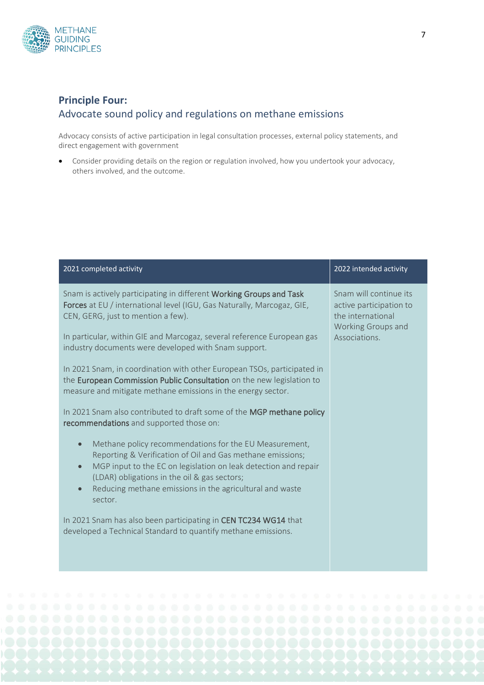

## **Principle Four:**  Advocate sound policy and regulations on methane emissions

Advocacy consists of active participation in legal consultation processes, external policy statements, and direct engagement with government

• Consider providing details on the region or regulation involved, how you undertook your advocacy, others involved, and the outcome.

|                                                   | 2021 completed activity                                                                                                                                                                                                                                                                             | 2022 intended activity                                                                                        |
|---------------------------------------------------|-----------------------------------------------------------------------------------------------------------------------------------------------------------------------------------------------------------------------------------------------------------------------------------------------------|---------------------------------------------------------------------------------------------------------------|
|                                                   | Snam is actively participating in different Working Groups and Task<br>Forces at EU / international level (IGU, Gas Naturally, Marcogaz, GIE,<br>CEN, GERG, just to mention a few).<br>In particular, within GIE and Marcogaz, several reference European gas                                       | Snam will continue its<br>active participation to<br>the international<br>Working Groups and<br>Associations. |
|                                                   | industry documents were developed with Snam support.<br>In 2021 Snam, in coordination with other European TSOs, participated in                                                                                                                                                                     |                                                                                                               |
|                                                   | the European Commission Public Consultation on the new legislation to<br>measure and mitigate methane emissions in the energy sector.                                                                                                                                                               |                                                                                                               |
|                                                   | In 2021 Snam also contributed to draft some of the MGP methane policy<br>recommendations and supported those on:                                                                                                                                                                                    |                                                                                                               |
| $\qquad \qquad \bullet$<br>$\bullet$<br>$\bullet$ | Methane policy recommendations for the EU Measurement,<br>Reporting & Verification of Oil and Gas methane emissions;<br>MGP input to the EC on legislation on leak detection and repair<br>(LDAR) obligations in the oil & gas sectors;<br>Reducing methane emissions in the agricultural and waste |                                                                                                               |
|                                                   | sector.<br>In 2021 Snam has also been participating in CEN TC234 WG14 that<br>developed a Technical Standard to quantify methane emissions.                                                                                                                                                         |                                                                                                               |
|                                                   |                                                                                                                                                                                                                                                                                                     |                                                                                                               |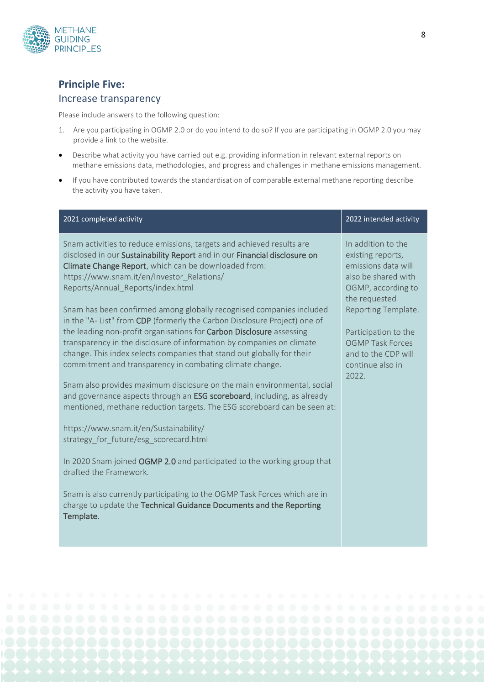

#### **Principle Five:**

#### Increase transparency

Please include answers to the following question:

- 1. Are you participating in OGMP 2.0 or do you intend to do so? If you are participating in OGMP 2.0 you may provide a link to the website.
- Describe what activity you have carried out e.g. providing information in relevant external reports on methane emissions data, methodologies, and progress and challenges in methane emissions management.
- If you have contributed towards the standardisation of comparable external methane reporting describe the activity you have taken.

| 2021 completed activity                                                                                                                                                                                                                                                                                                                                                                                                                 | 2022 intended activity                                                                                                       |
|-----------------------------------------------------------------------------------------------------------------------------------------------------------------------------------------------------------------------------------------------------------------------------------------------------------------------------------------------------------------------------------------------------------------------------------------|------------------------------------------------------------------------------------------------------------------------------|
| Snam activities to reduce emissions, targets and achieved results are<br>disclosed in our Sustainability Report and in our Financial disclosure on<br>Climate Change Report, which can be downloaded from:<br>https://www.snam.it/en/Investor Relations/<br>Reports/Annual_Reports/index.html                                                                                                                                           | In addition to the<br>existing reports,<br>emissions data will<br>also be shared with<br>OGMP, according to<br>the requested |
| Snam has been confirmed among globally recognised companies included<br>in the "A-List" from CDP (formerly the Carbon Disclosure Project) one of<br>the leading non-profit organisations for Carbon Disclosure assessing<br>transparency in the disclosure of information by companies on climate<br>change. This index selects companies that stand out globally for their<br>commitment and transparency in combating climate change. | Reporting Template.<br>Participation to the<br><b>OGMP Task Forces</b><br>and to the CDP will                                |
| Snam also provides maximum disclosure on the main environmental, social<br>and governance aspects through an ESG scoreboard, including, as already<br>mentioned, methane reduction targets. The ESG scoreboard can be seen at:                                                                                                                                                                                                          | continue also in<br>2022.                                                                                                    |
| https://www.snam.it/en/Sustainability/<br>strategy for future/esg scorecard.html                                                                                                                                                                                                                                                                                                                                                        |                                                                                                                              |
| In 2020 Snam joined OGMP 2.0 and participated to the working group that<br>drafted the Framework.                                                                                                                                                                                                                                                                                                                                       |                                                                                                                              |
| Snam is also currently participating to the OGMP Task Forces which are in<br>charge to update the Technical Guidance Documents and the Reporting<br>Template.                                                                                                                                                                                                                                                                           |                                                                                                                              |
|                                                                                                                                                                                                                                                                                                                                                                                                                                         |                                                                                                                              |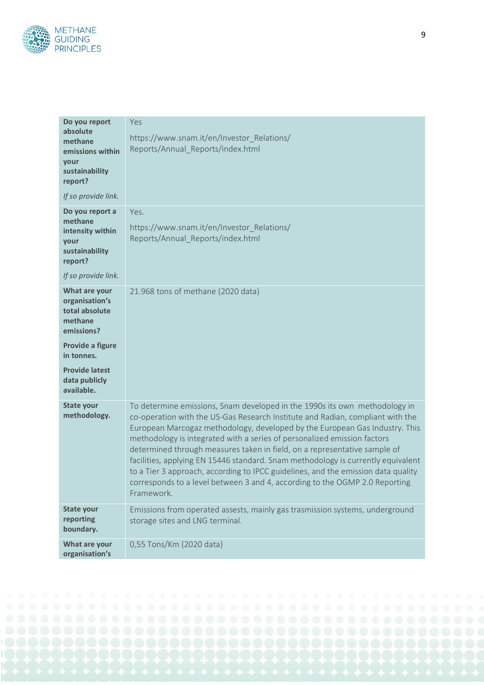

| Do you report<br>absolute<br>methane<br>emissions within<br>your<br>sustainability<br>report?              | Yes<br>https://www.snam.it/en/Investor_Relations/<br>Reports/Annual_Reports/index.html                                                                                                                                                                                                                                                                                                                                                                                                                                                                                                                                                                                     |
|------------------------------------------------------------------------------------------------------------|----------------------------------------------------------------------------------------------------------------------------------------------------------------------------------------------------------------------------------------------------------------------------------------------------------------------------------------------------------------------------------------------------------------------------------------------------------------------------------------------------------------------------------------------------------------------------------------------------------------------------------------------------------------------------|
| If so provide link.                                                                                        |                                                                                                                                                                                                                                                                                                                                                                                                                                                                                                                                                                                                                                                                            |
| Do you report a<br>methane<br>intensity within<br>your<br>sustainability<br>report?<br>If so provide link. | Yes.<br>https://www.snam.it/en/Investor Relations/<br>Reports/Annual_Reports/index.html                                                                                                                                                                                                                                                                                                                                                                                                                                                                                                                                                                                    |
| What are your<br>organisation's<br>total absolute<br>methane<br>emissions?                                 | 21.968 tons of methane (2020 data)                                                                                                                                                                                                                                                                                                                                                                                                                                                                                                                                                                                                                                         |
| Provide a figure<br>in tonnes.                                                                             |                                                                                                                                                                                                                                                                                                                                                                                                                                                                                                                                                                                                                                                                            |
| <b>Provide latest</b><br>data publicly<br>available.                                                       |                                                                                                                                                                                                                                                                                                                                                                                                                                                                                                                                                                                                                                                                            |
| <b>State your</b><br>methodology.                                                                          | To determine emissions, Snam developed in the 1990s its own methodology in<br>co-operation with the US-Gas Research Institute and Radian, compliant with the<br>European Marcogaz methodology, developed by the European Gas Industry. This<br>methodology is integrated with a series of personalized emission factors<br>determined through measures taken in field, on a representative sample of<br>facilities, applying EN 15446 standard. Snam methodology is currently equivalent<br>to a Tier 3 approach, according to IPCC guidelines, and the emission data quality<br>corresponds to a level between 3 and 4, according to the OGMP 2.0 Reporting<br>Framework. |
| <b>State your</b><br>reporting<br>boundary.                                                                | Emissions from operated assests, mainly gas trasmission systems, underground<br>storage sites and LNG terminal.                                                                                                                                                                                                                                                                                                                                                                                                                                                                                                                                                            |
| What are your<br>organisation's                                                                            | 0,55 Tons/Km (2020 data)                                                                                                                                                                                                                                                                                                                                                                                                                                                                                                                                                                                                                                                   |